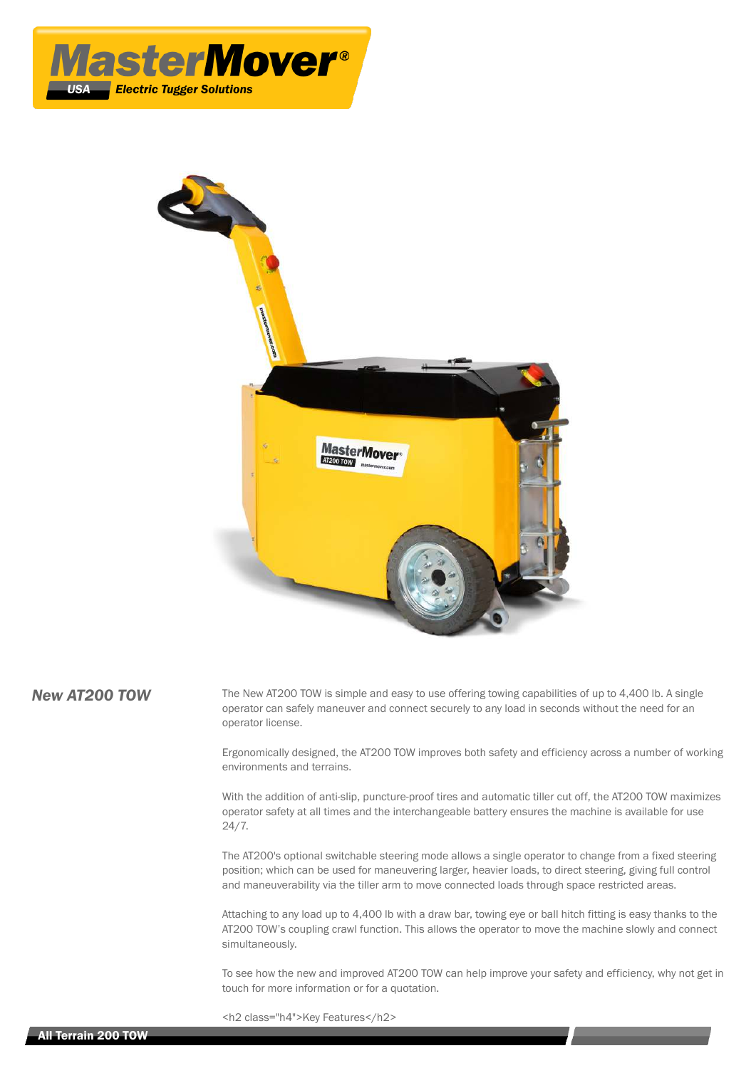



**New AT200 TOW** The New AT200 TOW is simple and easy to use offering towing capabilities of up to 4,400 lb. A single operator can safely maneuver and connect securely to any load in seconds without the need for an operator license.

> Ergonomically designed, the AT200 TOW improves both safety and efficiency across a number of working environments and terrains.

> With the addition of anti-slip, puncture-proof tires and automatic tiller cut off, the AT200 TOW maximizes operator safety at all times and the interchangeable battery ensures the machine is available for use 24/7.

> The AT200's optional switchable steering mode allows a single operator to change from a fixed steering position; which can be used for maneuvering larger, heavier loads, to direct steering, giving full control and maneuverability via the tiller arm to move connected loads through space restricted areas.

> Attaching to any load up to 4,400 lb with a draw bar, towing eye or ball hitch fitting is easy thanks to the AT200 TOW's coupling crawl function. This allows the operator to move the machine slowly and connect simultaneously.

To see how the new and improved AT200 TOW can help improve your safety and efficiency, why not get in touch for more information or for a quotation.

<h2 class="h4">Key Features</h2>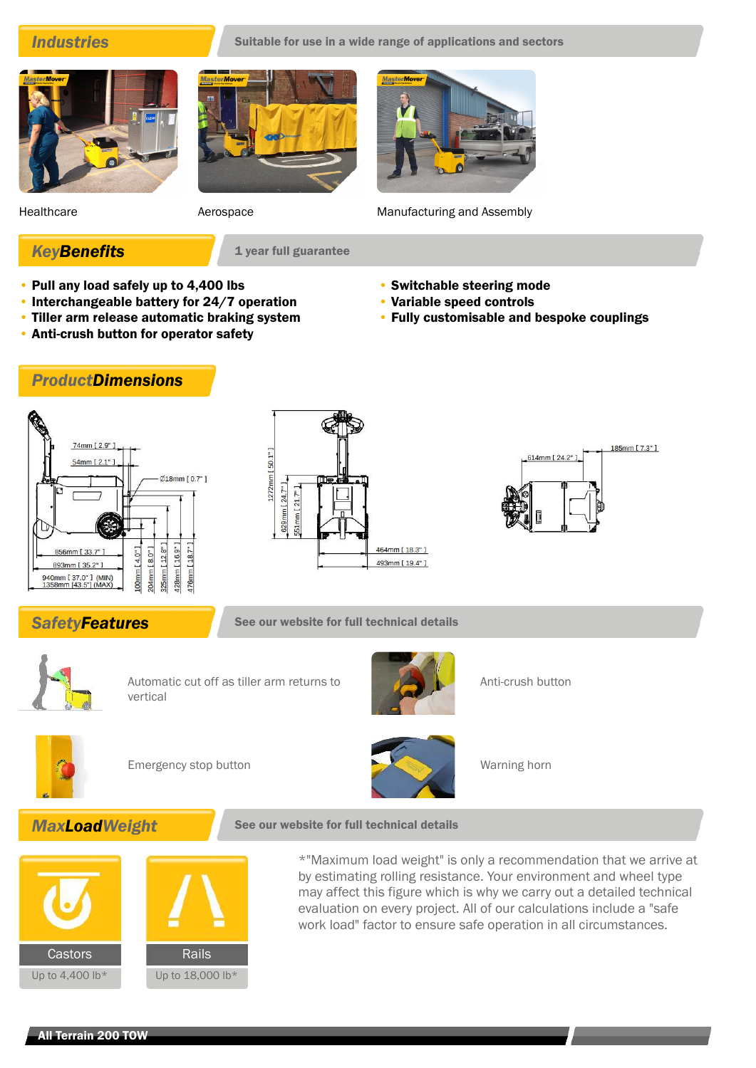**Industries** Suitable for use in a wide range of applications and sectors





Healthcare **Aerospace** Aerospace **Manufacturing and Assembly** 

• Switchable steering mode • Variable speed controls

• Fully customisable and bespoke couplings

**KeyBenefits** 1 year full guarantee

- Pull any load safely up to 4,400 lbs
- Interchangeable battery for 24/7 operation
- Tiller arm release automatic braking system
- Anti-crush button for operator safety

# *ProductDimensions*







**SafetyFeatures** See our website for full technical details



Automatic cut off as tiller arm returns to vertical



Anti-crush button



Emergency stop button Warning horn



# **MaxLoadWeight** See our website for full technical details





\*"Maximum load weight" is only a recommendation that we arrive at by estimating rolling resistance. Your environment and wheel type may affect this figure which is why we carry out a detailed technical evaluation on every project. All of our calculations include a "safe work load" factor to ensure safe operation in all circumstances.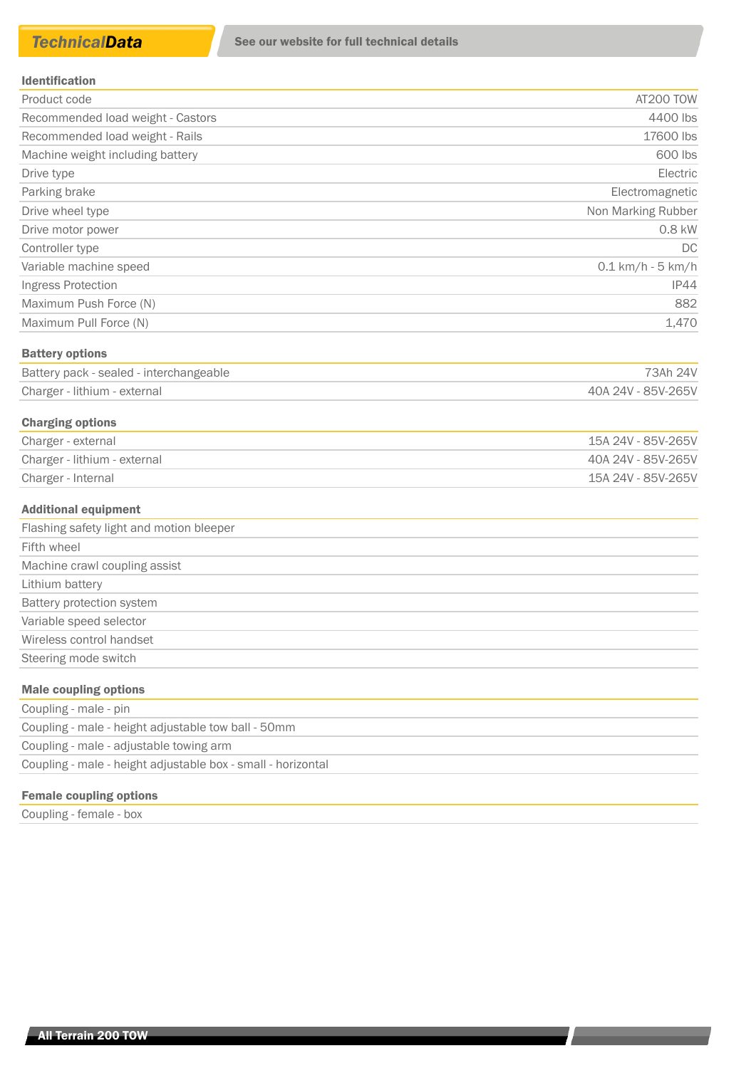#### Identification

| Product code                      | AT200 TOW                   |
|-----------------------------------|-----------------------------|
| Recommended load weight - Castors | 4400 lbs                    |
| Recommended load weight - Rails   | 17600 lbs                   |
| Machine weight including battery  | 600 lbs                     |
| Drive type                        | Electric                    |
| Parking brake                     | Electromagnetic             |
| Drive wheel type                  | Non Marking Rubber          |
| Drive motor power                 | 0.8 kW                      |
| Controller type                   | DC                          |
| Variable machine speed            | $0.1 \text{ km/h}$ - 5 km/h |
| Ingress Protection                | IP44                        |
| Maximum Push Force (N)            | 882                         |
| Maximum Pull Force (N)            | 1,470                       |
|                                   |                             |

### Battery options

| Battery pack - sealed - interchangeable | 73Ah 24V           |
|-----------------------------------------|--------------------|
| Charger - lithium - external            | 40A 24V - 85V-265V |

## Charging options

| Charger - external           | 15A 24V - 85V-265V |
|------------------------------|--------------------|
| Charger - lithium - external | 40A 24V - 85V-265V |
| Charger - Internal           | 15A 24V - 85V-265V |

#### Additional equipment

| Flashing safety light and motion bleeper |
|------------------------------------------|
| Fifth wheel                              |
| Machine crawl coupling assist            |
| Lithium battery                          |
| Battery protection system                |
| Variable speed selector                  |
| Wireless control handset                 |
| Steering mode switch                     |
| Malo coupling options                    |

#### Male coupling options

| Coupling - male - pin                                        |  |
|--------------------------------------------------------------|--|
| Coupling - male - height adjustable tow ball - 50mm          |  |
| Coupling - male - adjustable towing arm                      |  |
| Coupling - male - height adjustable box - small - horizontal |  |

### Female coupling options

Coupling - female - box